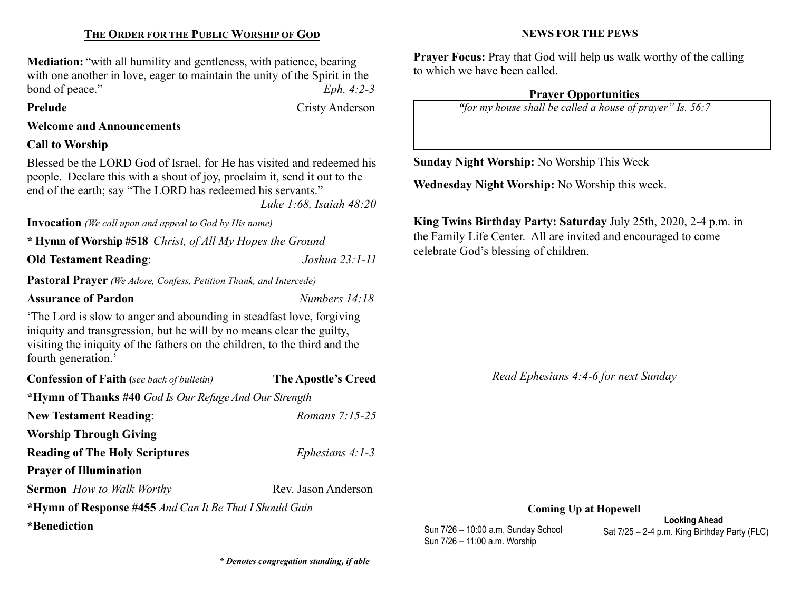# THE ORDER FOR THE PUBLIC WORSHIP OF GOD

Mediation: "with all humility and gentleness, with patience, bearing with one another in love, eager to maintain the unity of the Spirit in the bond of peace."  $Eph. 4:2-3$ 

Prelude Cristy Anderson

## Welcome and Announcements

## Call to Worship

Blessed be the LORD God of Israel, for He has visited and redeemed his people. Declare this with a shout of joy, proclaim it, send it out to the end of the earth; say "The LORD has redeemed his servants."

Luke 1:68, Isaiah 48:20

Invocation *(We call upon and appeal to God by His name)* 

\* Hymn of Worship #518 Christ, of All My Hopes the Ground

Old Testament Reading: Joshua 23:1-11

Pastoral Prayer (We Adore, Confess, Petition Thank, and Intercede)

## Assurance of Pardon Numbers 14:18

'The Lord is slow to anger and abounding in steadfast love, forgiving iniquity and transgression, but he will by no means clear the guilty, visiting the iniquity of the fathers on the children, to the third and the fourth generation.'

| <b>Confession of Faith</b> (see back of bulletin)       | <b>The Apostle's Creed</b> |  |  |  |
|---------------------------------------------------------|----------------------------|--|--|--|
| *Hymn of Thanks #40 God Is Our Refuge And Our Strength  |                            |  |  |  |
| <b>New Testament Reading:</b>                           | Romans $7:15-25$           |  |  |  |
| <b>Worship Through Giving</b>                           |                            |  |  |  |
| <b>Reading of The Holy Scriptures</b>                   | Ephesians $4:1-3$          |  |  |  |
| <b>Prayer of Illumination</b>                           |                            |  |  |  |
| <b>Sermon</b> How to Walk Worthy                        | Rev. Jason Anderson        |  |  |  |
| *Hymn of Response #455 And Can It Be That I Should Gain |                            |  |  |  |
| *Benediction                                            |                            |  |  |  |

\* Denotes congregation standing, if able

## NEWS FOR THE PEWS

Prayer Focus: Pray that God will help us walk worthy of the calling to which we have been called.

## Prayer Opportunities

"for my house shall be called a house of prayer" Is. 56:7

Sunday Night Worship: No Worship This Week

Wednesday Night Worship: No Worship this week.

King Twins Birthday Party: Saturday July 25th, 2020, 2-4 p.m. in the Family Life Center. All are invited and encouraged to come celebrate God's blessing of children.

Read Ephesians 4:4-6 for next Sunday

Coming Up at Hopewell

Sun 7/26 – 10:00 a.m. Sunday School Sun 7/26 – 11:00 a.m. Worship

Looking Ahead Sat 7/25 – 2-4 p.m. King Birthday Party (FLC)